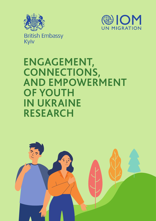



**British Embassy** Kyiv

# **ENGAGEMENT, CONNECTIONS, AND EMPOWERMENT OF YOUTH IN UKRAINE RESEARCH**

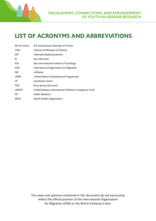

## **LIST OF ACRONYMS AND ABBREVIATIONS**

| AR of Crimea  | the Autonomous Republic of Crimea                      |
|---------------|--------------------------------------------------------|
| <b>CMU</b>    | Cabinet of Ministers of Ukraine                        |
| <b>IDP</b>    | internally displaced person                            |
| ΚI            | key informant                                          |
| <b>KIIS</b>   | Kyiv International Institute of Sociology              |
| <b>IOM</b>    | International Organization for Migration               |
| <b>SW</b>     | software                                               |
| <b>UNDP</b>   | United Nations Development Programme                   |
| VS            | vocational school                                      |
| <b>FGD</b>    | focus group discussion                                 |
| <b>UNICEF</b> | United Nations International Children's Emergency Fund |
| <b>PR</b>     | <b>Public Relations</b>                                |
| <b>WHO</b>    | World Health Organization                              |
|               |                                                        |

The views and opinions contained in this document do not necessarily reflect the official position of the International Organization for Migration (IOM) or the British Embassy in Kyiv.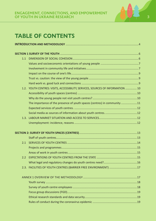

## **TABLE OF CONTENTS**

| 1.1 |                                                                                 |  |  |
|-----|---------------------------------------------------------------------------------|--|--|
|     |                                                                                 |  |  |
|     |                                                                                 |  |  |
|     |                                                                                 |  |  |
|     |                                                                                 |  |  |
|     |                                                                                 |  |  |
|     | 1.2. YOUTH CENTRES: VISITS, ACCESSIBILITY, SERVICES, SOURCES OF INFORMATION  10 |  |  |
|     |                                                                                 |  |  |
|     |                                                                                 |  |  |
|     | The importance of the presence of youth spaces (centres) in community 11        |  |  |
|     |                                                                                 |  |  |
|     |                                                                                 |  |  |
|     |                                                                                 |  |  |
|     |                                                                                 |  |  |
|     |                                                                                 |  |  |
|     |                                                                                 |  |  |
|     |                                                                                 |  |  |
| 2.1 |                                                                                 |  |  |
|     |                                                                                 |  |  |
|     |                                                                                 |  |  |
| 2.2 |                                                                                 |  |  |
|     |                                                                                 |  |  |
|     | 2.3. FACILITIES OF YOUTH CENTRES (BARRIER FREE ENVIRONMENT) 17                  |  |  |
|     |                                                                                 |  |  |
|     |                                                                                 |  |  |
|     |                                                                                 |  |  |
|     |                                                                                 |  |  |
|     |                                                                                 |  |  |
|     |                                                                                 |  |  |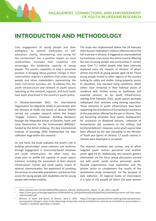

## **INTRODUCTION AND METHODOLOGY**

Civic engagement of young people and their willingness to commit themselves to selfeducation, charity, volunteering, and caring for the environment has a positive impact on local communities, increases their resilience, and encourages the leadership capacity of young people. The youth's capability to take a proactive position in bringing about positive change in their communities requires a platform that unites young people and other stakeholders representing the state, civil sector, business, etc. To address this, the youth infrastructure and network of youth spaces operating at the national, regional, and local levels have been prioritised in the country's youth policy.

In October-December 2021, the International Organization for Migration (IOM) in partnership with the Ministry of Youth and Sports of Ukraine (MoYS) carried out complex research within the Project "Engage, Connect, Empower: Building Resilience through the Integrated Action of Dynamic Youth and Local Government for the Environment (BRIDGE)" funded by the British Embassy. The Kyiv International Institute of Sociology (KIIS) implemented the data collection stage within this research.

On one hand, the study evaluates the youth's role in building communities' social cohesion and resilience through engagement in community-based initiatives and youth infrastructure. On other hand, this study aims to profile the capacity of youth spaces (centres), including the assessment of their physical infrastructure, human and social capital, means of external communication, the experience of providing the services to vulnerable populations, and barrier-free access for young people with disabilities and for young people with limited mobility.

The study was implemented before the 24 February 2022 Russian Federation's military offensive led to the full-scale war in Ukraine. It triggered an unprecedented humanitarian crisis across the entire country affecting the lives of young people and communities in various ways. Over 7.1 million people have been internally displaced since the invasion of Ukraine $1$  of whom almost one-third of young people aged 18-34. Those young people moved to other regions of the country looking for safety and shelter, losing property, access to education, and standard living conditions. While others have remained in their habitual places of residence with limited access to livelihoods and essential services. As for youth infrastructure, starting from February 2022, youth spaces promptly redeployed their activities using existing capacities. Those elements of youth infrastructure have been supporting the distribution of humanitarian assistance to the population affected by the war in Ukraine. They are becoming volunteer focal points, headquarters for assistance to displaced persons, collection of humanitarian aid, assistance to the military, and territorial defence<sup>2</sup>. However, some youth spaces have been affected by the war. According to the Minister of Youth and Sports of Ukraine, 17 youth centres in Ukraine were destroyed or occupied<sup>3</sup>.

The research combines two surveys, one of which targeted youth centres personnel and another youth aged 14-35. Additionally, the research gathers information via the focus group discussions carried out with youth, youth centres personnel, youthfocused organisations, local authorities, and the private sector to complement the results of the quantitative study component. For the purpose of data collection, 24 regional teams of interviewers in a total of 155 people (of which 139 were women

https://ukraine.iom.int/sites/default/files/ukraine\_internal\_displacement\_report\_r2\_apr\_2022\_eng.pdf

<sup>2</sup> https://mms.gov.ua/storage/app/sites/16/Molodizhna\_polityka/Molodijna%20polituka/molodizhnyy-tsentr-pid-chas-viynyrekomendatsii.pdf

<sup>3</sup> Ministry of Youth and Sports of Ukraine. April 5, 2022. https://mms.gov.ua/news/ministr-vadim-gutcajt-zaproponuvavyevropejskim-kolegam-realni-kroki-dopomogi-ukrayinskij-molodi-molodizhnim-centram-ta-molodizhnim-pracivnikam-u- -zvyazku-z-rosijskoyu-agresiyeyu-v-ukrayini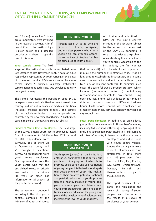

and 16 men), as well as 2 focus group moderators were involved in the research activities. A brief description of the methodology is given below, and a detailed description is given in appendix one of this report.

#### **DEFINITION: YOUTH**

Persons aged 14 to 35 who are citizens of Ukraine, foreigners, and stateless persons who stay in Ukraine on legal grounds, according to the Law of Ukraine "On basic principles of youth policy".

#### **Youth sample survey:** The field

stage of the nationwide youth survey lasted from late October to late November 2021. A total of 2,432 respondents represented by youth residing in 24 oblasts of Ukraine and the city of Kyiv were surveyed by a faceto-face survey. A stratified, four-stage probabilistic sample, random at each stage, was developed to carry out a youth survey.

The sample represents the population aged 14-35, who permanently reside in Ukraine, do not serve in the military, and are not in prisons or medical institutions (hospitals, medical boarding schools). The sample did not include territories that are temporarily not controlled by the Government of Ukraine: AR of Crimea, certain regions of Donetsk, and Luhansk oblasts.

**Survey of Youth Centre Employees:** The field stage of the survey among youth centre employees lasted from 1 November to 10 December 2021. A total

of 201 respondents were surveyed, 180 of them via a face-to-face survey and 21 through a telephone survey. All respondents were youth centre employees. One representative from the youth centre who met the established selection criteria was invited to participate (18 years or older, has information on all aspects of the youth centre work).

The survey was conducted according to the list of youth centres compiled by the Ministry of Youth and Sports

#### **DEFINITION: YOUTH SPACE (CENTRE)**

Youth space (centre) is an institution, enterprise, organization that carries out youth work the purpose of which is to promote socialization and self-realization of young people; intellectual, moral, spiritual development of youth, the realization of their creative potential; national and patriotic education of youth; promotion of a healthy lifestyle of young people; youth employment and leisure time, youth entrepreneurship; providing opportunities for civic education for young people and the development of volunteering; increasing the level of youth mobility .

of Ukraine and submitted to IOM. All the youth centres included in the list were subject to the survey. In the context of the COVID-19 pandemic, a research team faced the problem of establishing first contact with youth centres. According to the instructions, the first contact

(before the visit) had to be established by phone to minimise the number of ineffective trips. It took a long time to establish the first contact, and in some cases the contact could not be established (due to a lack of relevant contacts). To minimise such cases, the team followed a precise protocol, which included (but was not limited to) the following recommendations: search for any contacts using open sources, phone calls at least three times on different business days and different business hours. Furthermore, contact was established via e-mail or messenger, communication with village or city councils, etc.

**Focus group discussion.** In addition, 15 online focus group discussions were held in November-December, including 8 discussions with young people aged 14-35 (including young people with disabilities), 3 discussions with key informants, 2 discussions with youth centre

> employees and 2 discussions with youth centre visitors. Among the participants were residents of urban and rural settlements. In total, more than 105 participants from the city of Kyiv, Kyiv, Kharkiv, Lviv, Odesa, Dnipropetrovsk, Donetsk, Luhansk and Kherson oblasts took part in the discussions.

> The report consists of two parts, one highlighting the results of a survey of young people, and the other the results of a survey of employees of youth centres.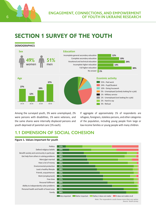

## **SECTION 1 SURVEY OF THE YOUTH**

**DEMOGRAPHICS**



Among the surveyed youth, 3% were unemployed, 2% were persons with disabilities, 1% were veterans, and the same shares were internally displaced persons and youth deprived of parental care (1% each).

If aggregate of approximately 1% of respondents are refugees, foreigners, stateless persons, and other categories of the population, including young people from large or low-income families or young people with many children.

## **1.1 DIMENSION OF SOCIAL COHESION**

### **Figure 1. Values important for youth**

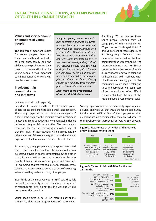

#### **Values and socioeconomic orientations of young people**

The top three important values for young people, there are their own health and the health of loved ones, family, and the ability to solve problems on their own. It is noteworthy that for young people it was important to be independent while solving problems and issues.

#### **Involvement in community life and initiatives**

*In my city, young people are making a lot of effective changes in environment protection, in entertainment, and including establishment of a youth centre. However, youth can take these measures when it does not need some financial support. If the measures need funding, this often includes policies that can have both positive and negative factors. For example, we have a public participation budget where young people can submit a project to the city council for funding. Unfortunately, politics is already included here.* 

*Men, Head of the organization of the scout NGO, Drohobych*

Specifically, 70 per cent of these young people reported they felt being part of the community vs. 66 per cent of youth aged 14 to 19 and 61 per cent of those aged 20 to 24. Young people from rural areas more often feel a part of the local community than urban youth (75% of respondents in rural areas vs. 65% of respondents in urban areas). There is also a relationship between belonging to households with members with disabilities and feeling part of the community: young people belonging to such households feel being part of the community less often (59% of respondents) than the rest of the male and female respondents(69%).

In times of crisis, it is especially

important to create conditions to strengthen young people's sense of belonging to communities and cohesion. The focus group participants associated the emergence of a sense of belonging to the community with involvement in activities aimed at achieving a common goal, including problem-solving or leisure activities. The respondents mentioned that a sense of belonging arises when they feel that the results of their activities will be appreciated by other members of the community. On the one hand, it was expressed by the formation of the perception of others.

For example, young people who play sports mentioned that it is important for them that others perceive them as successful players in sports competitions. On the other hand, it was significant for the respondents that the results of their activities were recognised and rewarded. For example, a student who studies hard should receive a scholarship. Others pointed out that a sense of belonging arises when they feel cared for by other people.

Two-thirds of the surveyed youth (68%) said they felt part of the community in which they live. One-quarter of respondents (25%) do not feel this way and 7% did not answer this question.

Young people aged 25 to 35 feel more a part of the community than younger generations of respondents.

Young people in rural areas are more likely to participate in activities and initiatives that would change the community for the better (67% vs. 58% of young people in urban areas) and are more confident that there are no barriers to their involvement in these activities (70% vs. 59% of young

#### **Figure 2. Awareness of activities and initiatives and willingness to join them**



#### **Figure 3. Types of civic activities for the last 12 months**

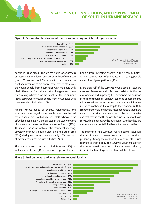

### **ENGAGEMENT, CONNECTIONS, AND EMPOWERMENT 8 OF YOUTH IN UKRAINE RESEARCH**



#### **Figure 4. Reasons for the absence of charity, volunteering and interest representation**

people in urban areas). Though their level of awareness of these activities is lower and closer to that of the urban youth, 57 per cent and 53 per cent of respondents in rural and urban areas are aware, respectively. Moreover, the young people from households with members with disabilities more often believe that nothing prevents them from joining initiatives for the benefit of the community (25%) compared to young people from households with members with disabilities(21%).

Among various types of charity, volunteering, and advocacy, the surveyed young people most often helped retirees and persons with disabilities(81%), advocated for offended people (79%), and assisted in the study or work of strangers who were not their relatives or friends (79%). The reasons for lack of involvement in charity, volunteering, advocacy, and educational activities are often lack of time (65%), the higher priority of work or study (26%,) and lack of material resources for such activities (24%).

The lack of interest, desire, and indifference (27%), as well as lack of time (16%), most often prevent young people from initiating change in their communities. Among various types of public activities, young people most often signed petitions (23%).

More than half of the surveyed young people (53%) are unaware of measures and initiatives aimed at protecting the environment and improving the environmental situation in their communities. Eighteen per cent of respondents said they neither carried out such activities and initiatives nor were involved in them despite their awareness. Only six per cent of male and female respondents said that there were such activities and initiatives in their communities and that they joined them. Another five per cent of those surveyed did not answer the question of whether they are aware of environmental initiatives in their communities.

The majority of the surveyed young people (85%) said that environmental issues were important to them personally. Among the most acute environmental issues relevant to their locality, the surveyed youth most often cite the increase in the amount of waste, water pollution, in particular, by enterprises, and air pollution by cars.



#### **Figure 5. Environmental problems relevant to youth localities**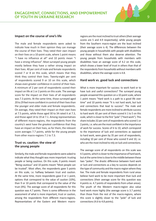

#### **Impact on the course of one's life**

The male and female respondents were asked to indicate how much in their opinion they can manage the course of their lives. They rated their own impact on their lives on a 10-point scale, where 1 point means "I have no influence at all" and 10 points mean "I have a strong influence". Most surveyed young people mostly believe they have a rather strong impact on their lives. 40 per cent of male and female respondents scored 7 or 8 on this scale, which means that they think they control their lives. Twenty-eight per cent of respondents scored 9 or 10 on this scale, which shows even greater confidence in control of their lives. A minimum of 2 per cent of respondents scored their impact on life at 1 or 2 points on this scale. The average score for the impact on their lives of all respondents was 7.3 points. At the same time, those surveyed aged 20 to 29 feel more confident in control of their lives than the younger and older male and female respondents. On average, they rated their impact on their own lives at 7.5 points, while those aged 30 to 34 rated it at 7.3, and those aged 14 to 19 at 7.1. Among representatives of different macro-regions, the respondents from the country's west have the greatest confidence that they have an impact on their lives, as for them, the relevant score averages 7.7 points, while for the young people from other macro-regions 7.1 to 7.3.

#### **Trust vs. caution: the view of the young people**

Similarly, the male and female respondents were asked to indicate what they thought was more important: trusting people or being cautious. On this scale, 0 points meant "Being cautious" and 10 points meant "Most people can be trusted". Most often, the respondents gave 5 points on this scale, i.e. halfway between trust and caution. At the same time, more respondents gave 0 or 1 point, options that correspond to the value of caution (10%), than 9 or 10 points that correspond to the value of the trust (4%). The average score of all respondents for this question was 4.7 points. There is some difference in the assessment of what is more important, trust or caution, among the respondents from different macro-regions. Representatives of the Eastern and Western macroregions are the most inclined to trust others (their average scores are 5 and 4.9 respectively), while young people from the Southern macro-region are the least inclined (their average score is 4). The differences between the young people in households with people with disabilities and those without them also deserve attention. The young people from households with members with disabilities have an average score of 4.2 on this scale, which shows a lower level of trust in others than that of the respondents from households without members with disabilities, where the average score is 4.8.

#### **Hard work vs. good luck and connections**

What is more important for success: to work hard or to have luck and useful connections? The surveyed young people answered this question on a 10-point scale, where 1 point means "Hard work is a path to a good life over time" and 10 points mean "It is not hard work, but luck and connections that lead to success". The male and female respondents are more inclined to attribute success to hard work: 65 per cent of them scored it 1 to 5 on this scale, which is closer to the first "pole" ("Hard work"). This share includes 32 per cent of respondents who scored 1 or 2 points, i.e. who are the most confident in the importance of work for success. Scores of 6 to 10, which correspond to the importance of luck and connections as opposed to hard work, were given by 35 per cent of respondents, including 10 per cent of those who scored 9 and 10, i.e. who are the most inclined to rely on luck and connections.

The average score of all respondents on this scale was 4.5 points, which is closer to the importance of hard work. but at the same time is close to the middle between these two "poles". The drastic difference between hard work or luck and connections as a key to success depends on the type of community and the macro-region where they live. The male and female respondents from rural areas believe hard work to be more important than luck and connections (their average score for this question was 4 points vs. 4.7 points of respondents from urban areas). The youth of the Western macro-region also value hard work more highly (the average score is 3.7 points) than those from the rest of the macro-regions, where this score is slightly closer to the "pole" of luck and connections (4.6 to 4.8 points).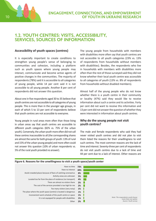

## **1.2. YOUTH CENTRES: VISITS, ACCESSIBILITY, SERVICES, SOURCES OF INFORMATION**

#### **Accessibility of youth spaces (centres)**

It is especially important to create conditions to strengthen young people's sense of belonging to communities and cohesion, including a platform such as youth spaces where young people may interact, communicate and become active agents of positive changes in the communities. The majority of respondents (78%) said it is accessible to all categories of young people, while 14 per cent said it is not accessible to all young people. Another 8 per cent of respondents did not answer this question.

About one in five respondents aged 30 to 35 believe that youth centres are not accessible to all categories of young people. This is more than in the younger age groups, in each of which 5 to 13 per cent of respondents believe that youth centres are not accessible to everyone.

Young people in rural areas more often than those living in urban areas say that youth centres are accessible to different youth categories (82% vs. 75% of the urban youth). Conversely, the urban youth more often did not call these centres inaccessible to all (the corresponding shares are almost the same for both groups of youth: 13% of rural and 15% of the urban young people) and more often could not answer this question (10% of urban respondents vs. 5% of the rural youth provided no answer).

The young people from households with members with disabilities more often say that youth centres are not accessible to all youth categories (23% vs. 13% of respondents from households without members with disabilities). Besides, the respondents who live in households with members with disabilities more often than the rest of those surveyed said they did not know whether their local youth centre was accessible to all categories of youth (13% vs. 8% of respondents from households without disabled members).

Almost half of the young people who do not know whether there is a youth centre in their community or locality (47%) said they would like to receive information about such a centre and its activities. Forty per cent did not want to receive this information and 13 per cent did not answer the question of whether they were interested in information about youth centres.

#### **Why do the young people not visit youth centres?**

The male and female respondents who said they had never visited youth centres and did not plan to visit them listed the reasons for their unwillingness to visit such centres. The most common reasons are the lack of time and interest. Seventy-three per cent of respondents do not visit youth centres due to a lack of time and 44 per cent due to a lack of interest. Other reasons are



#### **Figure 6. Reasons for the unwillingness to visit a youth space/youth center**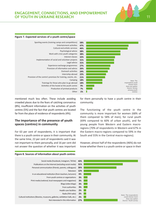

### **ENGAGEMENT, CONNECTIONS, AND EMPOWERMENT OF YOUTH IN UKRAINE RESEARCH 11**

#### **Figure 7. Expected services of a youth centre/space**



mentioned much less often. These include avoiding crowded places due to the fears of catching coronavirus (8%), insufficient information on the activities of youth centres (5%) and the fact that youth centres are located far from the place of residence of respondents (4%).

#### **The importance of the presence of youth spaces (centres) in community**

For 63 per cent of respondents, it is important that there is a youth centre or space in their community. At the same time, 22 per cent of respondents said it was not important to them personally, and 16 per cent did not answer the question of whether it was important for them personally to have a youth centre in their community.

The functioning of the youth centre in the community is more important for women (68% of them compared to 58% of men), for rural youth (69% compared to 60% of urban youth), and for young people from Western and Eastern macroregions (70% of respondents in Western and 67% in the Eastern macro-regions compared to 59% in the South and 55% in the Central macro-regions).

However, almost half of the respondents (46%) do not know whether there is a youth centre or space in their



**Figure 8. Sources of information about youth centres**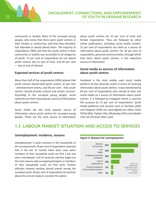

community or locality. Most of the surveyed young people, who knew that there were youth centres in their locality or community, said that they attended, had attended or would attend them. The majority of respondents (78%) said that the youth centre in their community or locality was accessible to all categories of youth. 73 per cent of respondents do not attend youth centres due to lack of time, and 44 per cent — due to lack of interest.

#### **Expected services of youth centres**

More than half of the respondents (58%) believe that youth centres should hold sports events, 47 per cent - entertainment events, and 46 per cent - that youth centres should provide cultural and artistic services. According to the surveyed young people, social networks are their most popular source of information about youth centres.

Social media are the most popular source of information about youth centres for surveyed young people. These are the main source of information about youth centres for 43 per cent of male and female respondents. They are followed by other online publications, excluding social media content: 31 per cent of respondents use them as a source of information about youth centres. For 26 per cent of respondents, personal communication, through which they learn about youth centres, is the important source of information.

#### **Social media as sources of information about youth centres**

Facebook is the most widely used social media platform by the Ukrainian youth in terms of receiving information about youth centres. It was mentioned by 69 per cent of respondents who named at least one social media as a source of information about youth centres. It is followed by Instagram which is used for this purpose by 53 per cent of respondents. Social media platforms and services such as YouTube (28%) and Telegram (20%) are used slightly less often, while TikTok (8%), Twitter(3%), WhatsApp (3%) and LinkedIn (1%) are the least often used.

## **1.3. LABOUR MARKET SITUATION AND ACCESS TO SERVICES**

#### **Unemployment: incidence, reasons**

Unemployment is quite common in the households of the surveyed youth: 29 per cent of respondents reported that in the last 12 months there were cases when members of their household could not find a job and were unemployed. Lack of vacancies and low wages are the main reasons why surveyed participants or members of their households could not find work. Positive attitudes towards working abroad prevail among the surveyed youth: 48 per cent of respondents are positive about this and are ready to consider this option.



#### **Figure 9. Reasons for unemployment**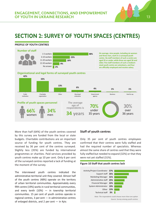

## **SECTION 2: SURVEY OF YOUTH SPACES (CENTRES)**

#### **PROFILE OF YOUTH CENTRES**



More than half (64%) of the youth centres covered by this survey are funded from the local or state budgets. Charitable contributions are an important source of funding for youth centres. They are received by 36 per cent of the centres surveyed. Slightly less (35%) are funded by international programmes or charities. Paid services provided by youth centres make up 10 per cent. Only 6 per cent of the surveyed centres reported a lack of funding at the moment of the survey.

The interviewed youth centres indicated the administrative-territorial unit they covered. Almost half of the youth centres (48%) operate on the territory of urban territorial communities. Approximately every fifth centre (19%) works in rural territorial communities, and every tenth  $(10%)$  — in township territorial communities. 15 per cent of youth centres operate in regional centres, 3 per cent — in administrative centres of enlarged districts, and 2 per cent — in Kyiv.

#### **Staff of youth centres**

Only 35 per cent of youth centres employees confirmed that their centres were fully staffed and had the required number of specialists. Whereas almost the same share of centres said that they were fully staffed but needed to expand (32%) or that they were not yet staffed (31%).

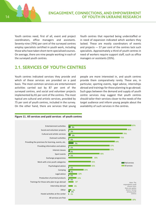

Youth centres need, first of all, event and project coordinators, office managers and assistants. Seventy-nine (79%) per cent of the surveyed centres employ specialists certified in youth work, including those who have taken short-term specialised courses. On average, there are nine people working in each of the surveyed youth centres.

Youth centres that reported being understaffed or in need of expansion indicated which workers they lacked. These are mostly coordinators of events and projects — 57 per cent of the centres lack such specialists. Approximately a third of youth centres in need of workers require support staff, such as office managers or assistants (35%).

## **2.1. SERVICES OF YOUTH CENTRES**

Youth centres indicated services they provide and which of these services are provided on a paid basis. The most common services are entertainment activities carried out by 87 per cent of the surveyed centres, and social and volunteer projects implemented by 81 per cent of the centres. The most typical are cultural and artistic services, provided by 75 per cent of youth centres, included in the survey. On the other hand, there are services that young

people are more interested in, and youth centres provide them comparatively rarely. These are, in particular, sporting events, legal advice, internships abroad and trainings for those planning to go abroad. Such gaps between the demand and supply of youth centre services may suggest that youth centres should tailor their services closer to the needs of the target audience and inform young people about the availability of such services in the centres.



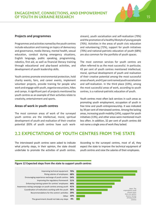

#### **Projects and programmes**

Programmes and activities named by the youth centres include education and training on topics of democracy and governance, media literacy, mental health, sexual education, conduct during emergency situations, English language, public speaking, programming, robotics, first aid, as well as financial literacy training through educational and play-based activities, and development of youth leadership skills.

Youth centres promote environmental protection, hold charity events, fairs, and career events, implement volunteer projects, provide training for people who work and engage with youth, organise excursions, hikes and camps. A significant part of projects mentioned by youth centres as an example of their activities relate to creativity, entertainment and sports.

#### **Areas of work in youth centres**

The most common areas of work of the surveyed youth centres are the intellectual, moral, spiritual development of youth and realisation of their creative potential (83% of youth centres have such workstream), youth socialisation and self-realisation (79%) and the promotion of a healthy lifestyle of young people (76%). Activities in the areas of youth civic education and volunteering (72%), support for youth initiatives (70%) and national-patriotic education of youth (68%) are also common for the portfolio of youth spaces.

The most common services for youth centres are often referred to as the most successful. In particular, 43 per cent of youth centres mentioned intellectual, moral, spiritual development of youth and realisation of their creative potential among the most successful areas of work, and 41percent named youth socialisation and self-realisation. In the third place (33%), among the most successful areas of work, according to youth centres, is a national-patriotic education of youth.

Youth centres most often lack services in such areas as promoting youth employment, occupation of youth in free time and youth entrepreneurship. It was indicated by 39 per cent of interviewed centres. Among the lacking areas, increasing youth mobility (14%), support for youth initiatives (13%), and other areas were mentioned much less often. In addition, 32 per cent of youth centres did not name a single area of work they lacked.

### **2.2 EXPECTATIONS OF YOUTH CENTRES FROM THE STATE**

The interviewed youth centres were asked to indicate what priority steps, in their opinion, the state should undertake to promote the activities of youth centres. According to the surveyed centres, most of all, they expect the state to improve the technical equipment of youth centres and raise the salaries of their employees.



#### **Figure 12 Expected steps from the state to support youth centres**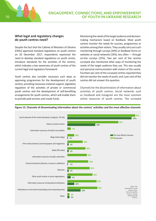

#### **What legal and regulatory changes do youth centres need?**

Despite the fact that the Cabinet of Ministers of Ukraine (CMU) approved standard regulations on youth centres on 20 December 2017, respondents expressed the need to develop standard regulations on youth centre, introduce standards for the activities of the centres, which indicates a low awareness of youth centres of the current legal and regulatory framework.

Youth centres also consider necessary such steps as approving programmes for the development of youth centres, providing necessary material support, legislative regulation of the activities of private or commercial youth centres and the development of self-benefiting arrangements for youth centres, which will enable them to provide paid services and create funds.

Monitoring the needs of the target audience and decisionmaking mechanism based on feedback. Most youth centres monitor the needs for courses, programmes or activities among their visitors. They usually carry out such monitoring through surveys (34%) or feedback forms on websites or social networks (33%), less often — through on-line surveys (15%). Two per cent of the centres surveyed also mentioned other ways of monitoring the needs of the target audience they use. This was usually oral personal communication with visitors of the centre. Fourteen per cent of the surveyed centres reported they did not monitor the needs of youth, and 1 per cent of the centres did not answer this question.

Channels for the dissemination of information about activities of youth centres. Social networks such as Facebook and Instagram are the most common online resources of youth centres. The surveyed



#### **Figure 13. Channels of disseminating information about the centres' activities and the most effective channels**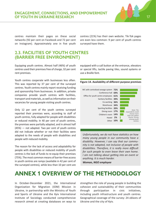

centres maintain their pages on these social networks (92 per cent on Facebook and 72 per cent on Instagram). Approximately one in five youth centres (21%) has their own website. Tik-Tok pages are even less common: 9 per cent of youth centres surveyed have them.

### **2.3. FACILITIES OF YOUTH CENTRES (BARRIER FREE ENVIRONMENT)**

Equipping youth centres. Almost half (46%) of youth centres used their premises free of charge, 32 per cent rent premises.

Youth centres cooperate with businesses less often. This was reported by 37 per cent of the surveyed centres. Youth centres mainly report receiving funding and sponsorship from businesses. In addition, private companies provide youth centres with facilities, transport and materials, as well as information on their vacancies for young people visiting youth centres.

Only 12 per cent of the youth centres surveyed reported their premises were, according to staff of youth centres, fully adapted for people with disabilities or reduced mobility. In 40 per cent of youth centres, the premises were partially adapted, and in almost half (45%) — not adapted. Two per cent of youth centres did not indicate whether or not their facilities were adapted to the needs of people with disabilities and people with reduced mobility.

The reason for the lack of access and adaptability for people with disabilities or reduced mobility of youth centres is the lack of funds to re-equip their premises (75%). The most common means of barrier-free access in youth centres are ramps (available in 42 per cent of the surveyed centres), while less than 10 per cent are equipped with a call button at the entrance, elevators or special lifts, tactile paving tiles, sound systems or use a Braille font.

**Figure 14. Availability of different purpose premises**



*Unfortunately, we do not have statistics on how many young people in our community have a disability. However, I can say that our community is not adapted, not inclusive of people with disabilities. Therefore, it is really more difficult for such people to even leave their own home. I am not talking about getting into an event or anything. It is much harder.* 

*Woman, NGO employee*

## **ANNEX 1 OVERVIEW OF THE METHODOLOGY**

In October-December 2021, the International Organization for Migration (IOM) Mission in Ukraine, in partnership with the Ministry of Youth and Sports of Ukraine and the Kyiv International Institute of Sociology conducted comprehensive research aimed at creating databases on ways to

strengthen the role of young people in building the cohesion and sustainability of their communities through participation in civic initiatives, including youth infrastructure and youth centres. Geographical coverage of the survey: 24 oblasts of Ukraine and the city of Kyiv.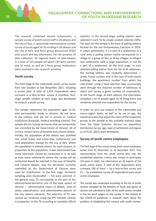The research combined several components: a sample survey of youth centre staff in 24 oblasts and the city of Kyiv, a nationwide representative sample survey of youth aged 14-35 residing in 24 oblasts and the city of Kyiv, and focus group discussions (FGD) with youth and key informants. For the purpose of data collection, 24 regional teams of interviewers in a total of 155 people (of which 139 were women and 16 men), as well as 2 focus group moderators were involved in the research activities.

#### **Youth survey**

The field stage of the nationwide youth survey lasted from late October to late November 2021, including a survey pilot. A total of 2,432 respondents were surveyed in a face-to-face survey. A stratified, fourstage sample, random at each stage, was developed to conduct a youth survey.

The sample represents the population aged 15-35, who permanently reside in Ukraine, do not serve in the military, and are not in prisons or medical institutions (hospitals, medical boarding schools). The sample did not include territories that are temporarily not controlled by the Government of Ukraine: AR of Crimea, certain raions of Donetsk and Luhansk oblasts. Initially, the population of the oblasts was stratified into urban (cities and urban-type settlements) and rural populations (except for the city of Kyiv, where the population is entirely urban). For each stratum, in proportion to the population, it was determined how many interviews should be conducted in it, as well as how many settlements where the survey will be conducted should be selected. In the case of Donetsk and Luhansk oblasts, only the territories currently controlled by the Government of Ukraine were used for stratification. In the first stage, territorial sampling units (hereinafter — TU) were selected. In the general case, TU corresponds to the part of the administrative-territorial unit of the state system of Ukraine — administrative raions of oblasts, cities of oblast subordination, and administrative districts of the city (where relevant). The selection of TU was carried out randomly using the PPS method, namely in proportion to the TA according to available official statistics. In the second stage, polling stations were selected in each TU by simple random selection (SRS). The basis for the sample is the base of polling stations formed for the last Parliamentary Elections in 2019. In urban settlements, it is a part of a settlement; in a rural area, a polling station mainly corresponds to a village or a group of two or three villages; in villages and settlements with a large population, it can be a part of a settlement. At the third stage, in each selected polling station from the list of all addresses, the starting address was randomly determined street, house number, and, in the case of multi-storey buildings, the apartment number from which the interviewer, using a fixed selection step, successively went through the required number of addresses to select and survey a given number of respondents. At the fourth stage, at each address, the interviewer compiled a list of people aged 14-35 living there and randomly selected one respondent for the survey.

In order to carry out analysis at the nationwide and macro-region levels, as well as by sex or age, the statistical scales that adjust the ratios of the respective groups in the sample to the available statistics (data from the State Statistics Service on population distribution by sex, age, type of settlement and region as of 01.01.2021) were developed.

#### **Survey of youth centre employees**

The field stage of the survey among youth centre employees lasted from 01 November to 10 December 2021. One representative from the youth centre who met the established selection criteria was invited to participate (18 years or older, has information on all aspects of the youth centre work). A total of 201 respondents were surveyed, 180 of them  $-$  by a face-to-face survey and 21 – by a telephone survey. All respondents were youth centre employees.

The survey was conducted according to the list of youth centres compiled by the Ministry of Youth and Sports of Ukraine and submitted to IOM. All the youth centres included in the list were subject to the survey. In the context of the COVID-19 pandemic, a research team faced the problem of establishing first contact with youth centres.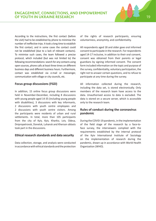

According to the instructions, the first contact (before the visit) had to be established by phone to minimise the number of ineffective trips. It took a long time to establish the first contact, and in some cases the contact could not be established (due to a lack of relevant contacts). To minimise such cases, the team followed a precise protocol, which included (but was not limited to) the following recommendations: search for any contacts using open sources, phone calls at least three times on different business days and different business hours. Furthermore, contact was established via e-mail or messenger, communication with village or city councils, etc.

#### **Focus group discussions (FGD)**

In addition, 15 online focus group discussions were held in November-December, including 8 discussions with young people aged 14-35 (including young people with disabilities), 3 discussions with key informants, 2 discussions with youth centre employees and 2 discussions with youth centre visitors. Among the participants were residents of urban and rural settlements. In total, more than 105 participants from the city of Kyiv, Kyiv, Kharkiv, Lviv, Odesa, Dnipropetrovsk, Donetsk, Luhansk and Kherson oblasts took part in the discussions.

#### **Ethical research standards and data security**

Data collection, storage, and analysis were conducted in accordance with ethical standards and the protection of the rights of research participants, ensuring voluntariness, anonymity, and confidentiality.

All respondents aged 18 and older gave oral informed consent to participate in the research. For respondents aged 14-17 inclusive, in addition to their oral consent, consent was obtained from their parents or legal guardians by signing informed consent. The consent form included information on the topic and purpose of the survey, confidentiality, voluntary participation, the right not to answer certain questions, and to refuse to participate at any time during the survey.

All information collected during the research, including the data set, is stored electronically. Only members of the research team have access to the data. Unauthorised access to data is excluded. The data is stored on a secure server, which is accessible only to the research team.

#### **Rules of conduct during the coronavirus pandemic**

During the COVID-19 pandemic, in the implementation of the field stage of the research by a face-toface survey, the interviewers complied with the requirements established by the internal protocol of the Kyiv International Institute of Sociology on the implementation of research during the pandemic, drawn up in accordance with World Health Organization (WHO).